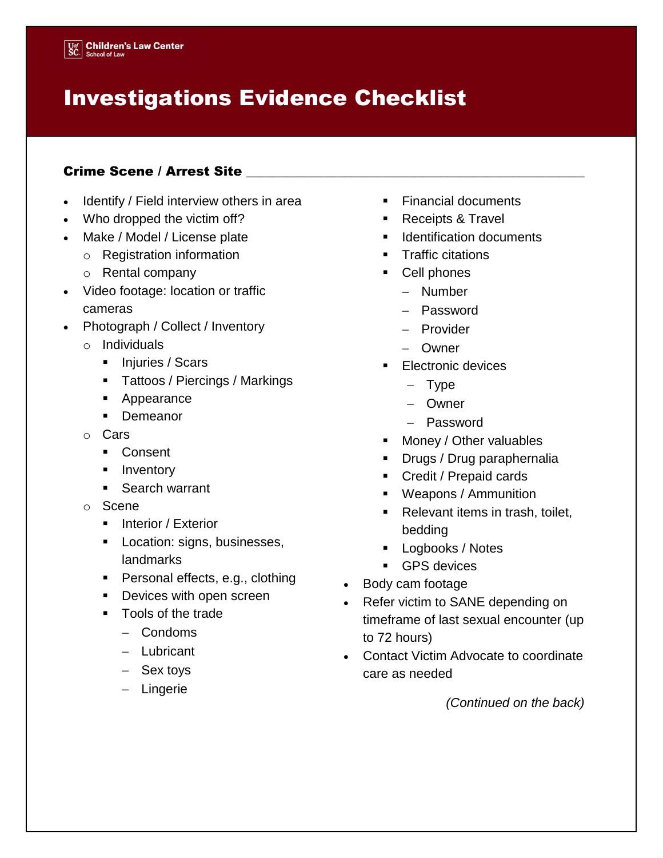## Investigations Evidence Checklist

## Crime Scene / Arrest Site \_

- Identify / Field interview others in area
- Who dropped the victim off?
- Make / Model / License plate
	- o Registration information
	- o Rental company
- Video footage: location or traffic cameras
- Photograph / Collect / Inventory
	- o Individuals
		- Injuries / Scars
		- **Tattoos / Piercings / Markings**
		- **Appearance**
		- **Demeanor**
	- o Cars
		- Consent
		- **Inventory**
		- **Search warrant**
	- o Scene
		- **Interior / Exterior**
		- **Location: signs, businesses,** landmarks
		- **Personal effects, e.g., clothing**
		- Devices with open screen
		- **Tools of the trade** 
			- Condoms
			- Lubricant
			- Sex toys
			- Lingerie
- Financial documents
- Receipts & Travel
- **IDENTIFICATION documents**
- **Traffic citations**
- **Cell phones** 
	- Number
	- Password
	- Provider
	- Owner
- **Electronic devices** 
	- $-$  Type
	- Owner
	- Password
- **Money / Other valuables**
- **Drugs / Drug paraphernalia**
- Credit / Prepaid cards
- Weapons / Ammunition
- **Relevant items in trash, toilet,** bedding
- **Logbooks / Notes**
- **GPS** devices
- Body cam footage
- Refer victim to SANE depending on timeframe of last sexual encounter (up to 72 hours)
- Contact Victim Advocate to coordinate care as needed

*(Continued on the back)*